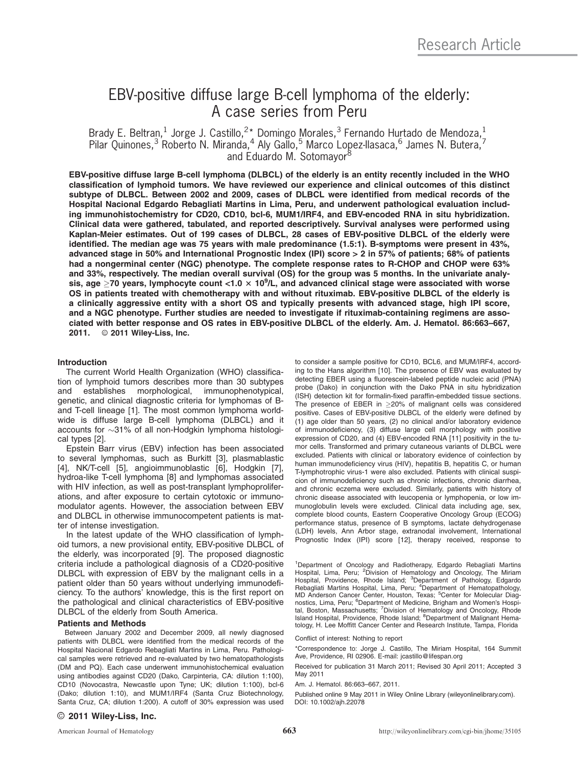# EBV-positive diffuse large B-cell lymphoma of the elderly: A case series from Peru

Brady E. Beltran,<sup>1</sup> Jorge J. Castillo,<sup>2\*</sup> Domingo Morales,<sup>3</sup> Fernando Hurtado de Mendoza,<sup>1</sup> Pilar Quinones,<sup>3</sup> Roberto N. Miranda,<sup>4</sup> Aly Gallo,<sup>5</sup> Marco Lopez-Ilasaca,<sup>6</sup> James N. Butera,<sup>7</sup> and Eduardo M. Sotomayor<sup>8</sup>

EBV-positive diffuse large B-cell lymphoma (DLBCL) of the elderly is an entity recently included in the WHO classification of lymphoid tumors. We have reviewed our experience and clinical outcomes of this distinct subtype of DLBCL. Between 2002 and 2009, cases of DLBCL were identified from medical records of the Hospital Nacional Edgardo Rebagliati Martins in Lima, Peru, and underwent pathological evaluation including immunohistochemistry for CD20, CD10, bcl-6, MUM1/IRF4, and EBV-encoded RNA in situ hybridization. Clinical data were gathered, tabulated, and reported descriptively. Survival analyses were performed using Kaplan-Meier estimates. Out of 199 cases of DLBCL, 28 cases of EBV-positive DLBCL of the elderly were identified. The median age was 75 years with male predominance (1.5:1). B-symptoms were present in 43%, advanced stage in 50% and International Prognostic Index (IPI) score > 2 in 57% of patients; 68% of patients had a nongerminal center (NGC) phenotype. The complete response rates to R-CHOP and CHOP were 63% and 33%, respectively. The median overall survival (OS) for the group was 5 months. In the univariate analysis, age  $\geq$ 70 years, lymphocyte count <1.0  $\times$  10<sup>9</sup>/L, and advanced clinical stage were associated with worse OS in patients treated with chemotherapy with and without rituximab. EBV-positive DLBCL of the elderly is a clinically aggressive entity with a short OS and typically presents with advanced stage, high IPI score, and a NGC phenotype. Further studies are needed to investigate if rituximab-containing regimens are associated with better response and OS rates in EBV-positive DLBCL of the elderly. Am. J. Hematol. 86:663–667, 2011. © 2011 Wiley-Liss, Inc.

# Introduction

The current World Health Organization (WHO) classification of lymphoid tumors describes more than 30 subtypes and establishes morphological, immunophenotypical, genetic, and clinical diagnostic criteria for lymphomas of Band T-cell lineage [1]. The most common lymphoma worldwide is diffuse large B-cell lymphoma (DLBCL) and it accounts for -31% of all non-Hodgkin lymphoma histological types [2].

Epstein Barr virus (EBV) infection has been associated to several lymphomas, such as Burkitt [3], plasmablastic [4], NK/T-cell [5], angioimmunoblastic [6], Hodgkin [7], hydroa-like T-cell lymphoma [8] and lymphomas associated with HIV infection, as well as post-transplant lymphoproliferations, and after exposure to certain cytotoxic or immunomodulator agents. However, the association between EBV and DLBCL in otherwise immunocompetent patients is matter of intense investigation.

In the latest update of the WHO classification of lymphoid tumors, a new provisional entity, EBV-positive DLBCL of the elderly, was incorporated [9]. The proposed diagnostic criteria include a pathological diagnosis of a CD20-positive DLBCL with expression of EBV by the malignant cells in a patient older than 50 years without underlying immunodeficiency. To the authors' knowledge, this is the first report on the pathological and clinical characteristics of EBV-positive DLBCL of the elderly from South America.

## Patients and Methods

Between January 2002 and December 2009, all newly diagnosed patients with DLBCL were identified from the medical records of the Hospital Nacional Edgardo Rebagliati Martins in Lima, Peru. Pathological samples were retrieved and re-evaluated by two hematopathologists (DM and PQ). Each case underwent immunohistochemical evaluation using antibodies against CD20 (Dako, Carpinteria, CA: dilution 1:100), CD10 (Novocastra, Newcastle upon Tyne; UK; dilution 1:100), bcl-6 (Dako; dilution 1:10), and MUM1/IRF4 (Santa Cruz Biotechnology, Santa Cruz, CA; dilution 1:200). A cutoff of 30% expression was used

to consider a sample positive for CD10, BCL6, and MUM/IRF4, according to the Hans algorithm [10]. The presence of EBV was evaluated by detecting EBER using a fluorescein-labeled peptide nucleic acid (PNA) probe (Dako) in conjunction with the Dako PNA in situ hybridization (ISH) detection kit for formalin-fixed paraffin-embedded tissue sections. The presence of EBER in  $\geq$ 20% of malignant cells was considered positive. Cases of EBV-positive DLBCL of the elderly were defined by (1) age older than 50 years, (2) no clinical and/or laboratory evidence of immunodeficiency, (3) diffuse large cell morphology with positive expression of CD20, and (4) EBV-encoded RNA [11] positivity in the tumor cells. Transformed and primary cutaneous variants of DLBCL were excluded. Patients with clinical or laboratory evidence of coinfection by human immunodeficiency virus (HIV), hepatitis B, hepatitis C, or human T-lymphotrophic virus-1 were also excluded. Patients with clinical suspicion of immunodeficiency such as chronic infections, chronic diarrhea, and chronic eczema were excluded. Similarly, patients with history of chronic disease associated with leucopenia or lymphopenia, or low immunoglobulin levels were excluded. Clinical data including age, sex, complete blood counts, Eastern Cooperative Oncology Group (ECOG) performance status, presence of B symptoms, lactate dehydrogenase (LDH) levels, Ann Arbor stage, extranodal involvement, International Prognostic Index (IPI) score [12], therapy received, response to

<sup>1</sup>Department of Oncology and Radiotherapy, Edgardo Rebagliati Martins Hospital, Lima, Peru; <sup>2</sup>Division of Hematology and Oncology, The Miriam<br>Hospital, Providence, Rhode Island; <sup>3</sup>Department of Pathology, Edgardo Rebagliati Martins Hospital, Lima, Peru; <sup>4</sup>Department of Hematopathology,<br>MD Anderson Cancer Center, Houston, Texas; <sup>5</sup>Center for Molecular Diagnostics, Lima, Peru; <sup>6</sup>Department of Medicine, Brigham and Women's Hospital, Boston, Massachusetts; <sup>7</sup>Division of Hematology and Oncology, Rhode Island Hospital, Providence, Rhode Island; <sup>8</sup>Department of Malignant Hematology, H. Lee Moffitt Cancer Center and Research Institute, Tampa, Florida

Conflict of interest: Nothing to report

\*Correspondence to: Jorge J. Castillo, The Miriam Hospital, 164 Summit Ave, Providence, RI 02906. E-mail: jcastillo@lifespan.org

Received for publication 31 March 2011; Revised 30 April 2011; Accepted 3 May 2011

Am. J. Hematol. 86:663–667, 2011.

Published online 9 May 2011 in Wiley Online Library (wileyonlinelibrary.com). DOI: 10.1002/ajh.22078

## $\odot$  2011 Wiley-Liss, Inc.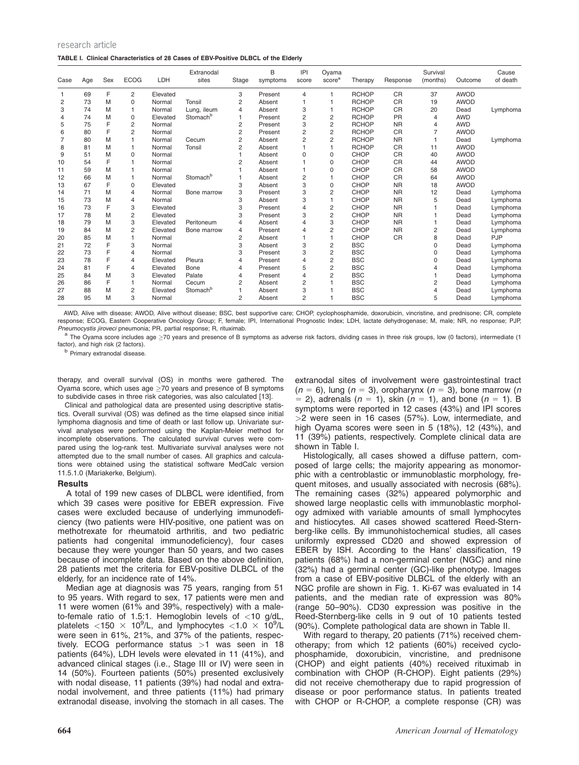| research article                                                                   |  |
|------------------------------------------------------------------------------------|--|
| TABLE I. Clinical Characteristics of 28 Cases of EBV-Positive DLBCL of the Elderly |  |

| Case           | Age | Sex | <b>ECOG</b>    | LDH      | Extranodal<br>sites  | Stage          | B<br>symptoms | IPI<br>score   | Oyama<br>score <sup>a</sup> | Therapy      | Response  | Survival<br>(months) | Outcome     | Cause<br>of death |
|----------------|-----|-----|----------------|----------|----------------------|----------------|---------------|----------------|-----------------------------|--------------|-----------|----------------------|-------------|-------------------|
|                | 69  | F   | 2              | Elevated |                      | 3              | Present       | 4              |                             | <b>RCHOP</b> | <b>CR</b> | 37                   | <b>AWOD</b> |                   |
| 2              | 73  | M   | $\Omega$       | Normal   | Tonsil               | $\overline{c}$ | Absent        |                |                             | <b>RCHOP</b> | <b>CR</b> | 19                   | <b>AWOD</b> |                   |
| 3              | 74  | M   | 1              | Normal   | Lung, ileum          | 4              | Absent        | 3              |                             | <b>RCHOP</b> | <b>CR</b> | 20                   | Dead        | Lymphoma          |
| $\overline{4}$ | 74  | M   | $\Omega$       | Elevated | Stomach <sup>b</sup> |                | Present       | $\overline{2}$ | $\overline{2}$              | <b>RCHOP</b> | PR        | $\overline{4}$       | <b>AWD</b>  |                   |
| 5              | 75  | F   | $\overline{2}$ | Normal   |                      | 2              | Present       | 3              | $\overline{2}$              | <b>RCHOP</b> | <b>NR</b> | 4                    | <b>AWD</b>  |                   |
| 6              | 80  | F   | 2              | Normal   |                      | 2              | Present       | 2              | $\overline{2}$              | <b>RCHOP</b> | <b>CR</b> | 7                    | <b>AWOD</b> |                   |
| 7              | 80  | M   | 1              | Normal   | Cecum                | $\overline{c}$ | Absent        | 2              | 2                           | <b>RCHOP</b> | <b>NR</b> |                      | Dead        | Lymphoma          |
| 8              | 81  | M   | 1              | Normal   | Tonsil               | $\overline{c}$ | Absent        |                |                             | <b>RCHOP</b> | <b>CR</b> | 11                   | <b>AWOD</b> |                   |
| 9              | 51  | M   | $\Omega$       | Normal   |                      |                | Absent        | 0              | 0                           | <b>CHOP</b>  | <b>CR</b> | 40                   | <b>AWOD</b> |                   |
| 10             | 54  | F   |                | Normal   |                      | 2              | Absent        |                | 0                           | <b>CHOP</b>  | <b>CR</b> | 44                   | <b>AWOD</b> |                   |
| 11             | 59  | M   |                | Normal   |                      |                | Absent        |                | 0                           | CHOP         | <b>CR</b> | 58                   | <b>AWOD</b> |                   |
| 12             | 66  | M   |                | Normal   | Stomach <sup>b</sup> |                | Absent        | 2              |                             | CHOP         | <b>CR</b> | 64                   | <b>AWOD</b> |                   |
| 13             | 67  | F   | $\Omega$       | Elevated |                      | 3              | Absent        | 3              | $\Omega$                    | CHOP         | <b>NR</b> | 18                   | <b>AWOD</b> |                   |
| 14             | 71  | M   | 4              | Normal   | Bone marrow          | 3              | Present       | 3              | $\overline{2}$              | CHOP         | <b>NR</b> | 12                   | Dead        | Lymphoma          |
| 15             | 73  | M   | 4              | Normal   |                      | 3              | Absent        | 3              |                             | <b>CHOP</b>  | <b>NR</b> | 5                    | Dead        | Lymphoma          |
| 16             | 73  | F   | 3              | Elevated |                      | 3              | Present       | 4              | 2                           | <b>CHOP</b>  | <b>NR</b> |                      | Dead        | Lymphoma          |
| 17             | 78  | M   | $\overline{c}$ | Elevated |                      | 3              | Present       | 3              | $\overline{c}$              | CHOP         | <b>NR</b> |                      | Dead        | Lymphoma          |
| 18             | 79  | M   | 3              | Elevated | Peritoneum           | 4              | Absent        | 4              | 3                           | CHOP         | <b>NR</b> |                      | Dead        | Lymphoma          |
| 19             | 84  | M   | $\overline{2}$ | Elevated | Bone marrow          | 4              | Present       | 4              | $\overline{2}$              | <b>CHOP</b>  | <b>NR</b> | 2                    | Dead        | Lymphoma          |
| 20             | 85  | M   | 1              | Normal   |                      | 2              | Absent        |                |                             | <b>CHOP</b>  | <b>CR</b> | 8                    | Dead        | PJP               |
| 21             | 72  | F   | 3              | Normal   |                      | 3              | Absent        | 3              | $\overline{c}$              | <b>BSC</b>   |           | $\Omega$             | Dead        | Lymphoma          |
| 22             | 73  | F   | 4              | Normal   |                      | 3              | Present       | 3              | $\overline{2}$              | <b>BSC</b>   |           | 0                    | Dead        | Lymphoma          |
| 23             | 78  | F   | 4              | Elevated | Pleura               | 4              | Present       | 4              | $\overline{2}$              | <b>BSC</b>   |           | U                    | Dead        | Lymphoma          |
| 24             | 81  | F   | 4              | Elevated | Bone                 | 4              | Present       | 5              | $\overline{2}$              | <b>BSC</b>   |           |                      | Dead        | Lymphoma          |
| 25             | 84  | M   | 3              | Elevated | Palate               | 4              | Present       | 4              | $\overline{2}$              | <b>BSC</b>   |           |                      | Dead        | Lymphoma          |
| 26             | 86  | F   |                | Normal   | Cecum                | 2              | Absent        | 2              |                             | <b>BSC</b>   |           | 2                    | Dead        | Lymphoma          |
| 27             | 88  | M   | $\overline{c}$ | Elevated | Stomach <sup>b</sup> |                | Absent        | 3              |                             | <b>BSC</b>   |           | $\overline{4}$       | Dead        | Lymphoma          |
| 28             | 95  | M   | 3              | Normal   |                      | $\overline{2}$ | Absent        | $\overline{2}$ |                             | <b>BSC</b>   |           | 5                    | Dead        | Lymphoma          |

AWD, Alive with disease; AWOD, Alive without disease; BSC, best supportive care; CHOP, cyclophosphamide, doxorubicin, vincristine, and prednisone; CR, complete response; ECOG, Eastern Cooperative Oncology Group; F, female; IPI, International Prognostic Index; LDH, lactate dehydrogenase; M, male; NR, no response; PJP, Preumocystis jiroveci pneumonia; PR, partial response; R, ritux

The Oyama score includes age >70 years and presence of B symptoms as adverse risk factors, dividing cases in three risk groups, low (0 factors), intermediate (1 factor), and high risk (2 factors).

<sup>D</sup> Primary extranodal disease.

therapy, and overall survival (OS) in months were gathered. The Oyama score, which uses age  $\geq$  70 years and presence of B symptoms to subdivide cases in three risk categories, was also calculated [13].

Clinical and pathological data are presented using descriptive statistics. Overall survival (OS) was defined as the time elapsed since initial lymphoma diagnosis and time of death or last follow up. Univariate survival analyses were performed using the Kaplan-Meier method for incomplete observations. The calculated survival curves were compared using the log-rank test. Multivariate survival analyses were not attempted due to the small number of cases. All graphics and calculations were obtained using the statistical software MedCalc version 11.5.1.0 (Mariakerke, Belgium).

# **Results**

A total of 199 new cases of DLBCL were identified, from which 39 cases were positive for EBER expression. Five cases were excluded because of underlying immunodeficiency (two patients were HIV-positive, one patient was on methotrexate for rheumatoid arthritis, and two pediatric patients had congenital immunodeficiency), four cases because they were younger than 50 years, and two cases because of incomplete data. Based on the above definition, 28 patients met the criteria for EBV-positive DLBCL of the elderly, for an incidence rate of 14%.

Median age at diagnosis was 75 years, ranging from 51 to 95 years. With regard to sex, 17 patients were men and 11 were women (61% and 39%, respectively) with a maleto-female ratio of 1.5:1. Hemoglobin levels of  $<$ 10 g/dL, platelets <150  $\times$  10<sup>9</sup>/L, and lymphocytes <1.0  $\times$  10<sup>9</sup>/L were seen in 61%, 21%, and 37% of the patients, respectively. ECOG performance status  $>1$  was seen in 18 patients (64%), LDH levels were elevated in 11 (41%), and advanced clinical stages (i.e., Stage III or IV) were seen in 14 (50%). Fourteen patients (50%) presented exclusively with nodal disease, 11 patients (39%) had nodal and extranodal involvement, and three patients (11%) had primary extranodal disease, involving the stomach in all cases. The

extranodal sites of involvement were gastrointestinal tract  $(n = 6)$ , lung  $(n = 3)$ , oropharynx  $(n = 3)$ , bone marrow (n  $= 2$ ), adrenals ( $n = 1$ ), skin ( $n = 1$ ), and bone ( $n = 1$ ). B symptoms were reported in 12 cases (43%) and IPI scores >2 were seen in 16 cases (57%). Low, intermediate, and high Oyama scores were seen in 5 (18%), 12 (43%), and 11 (39%) patients, respectively. Complete clinical data are shown in Table I.

Histologically, all cases showed a diffuse pattern, composed of large cells; the majority appearing as monomorphic with a centroblastic or immunoblastic morphology, frequent mitoses, and usually associated with necrosis (68%). The remaining cases (32%) appeared polymorphic and showed large neoplastic cells with immunoblastic morphology admixed with variable amounts of small lymphocytes and histiocytes. All cases showed scattered Reed-Sternberg-like cells. By immunohistochemical studies, all cases uniformly expressed CD20 and showed expression of EBER by ISH. According to the Hans' classification, 19 patients (68%) had a non-germinal center (NGC) and nine (32%) had a germinal center (GC)-like phenotype. Images from a case of EBV-positive DLBCL of the elderly with an NGC profile are shown in Fig. 1. Ki-67 was evaluated in 14 patients, and the median rate of expression was 80% (range 50–90%). CD30 expression was positive in the Reed-Sternberg-like cells in 9 out of 10 patients tested (90%). Complete pathological data are shown in Table II.

With regard to therapy, 20 patients (71%) received chemotherapy; from which 12 patients (60%) received cyclophosphamide, doxorubicin, vincristine, and prednisone (CHOP) and eight patients (40%) received rituximab in combination with CHOP (R-CHOP). Eight patients (29%) did not receive chemotherapy due to rapid progression of disease or poor performance status. In patients treated with CHOP or R-CHOP, a complete response (CR) was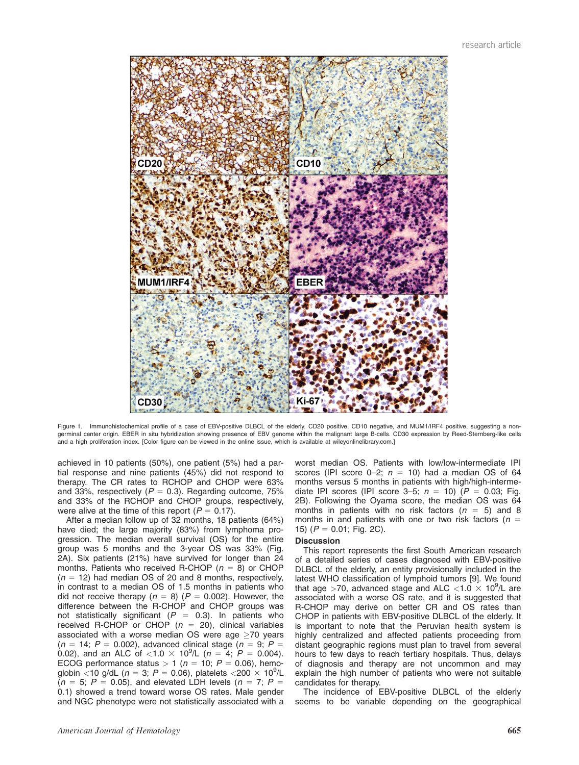

Figure 1. Immunohistochemical profile of a case of EBV-positive DLBCL of the elderly. CD20 positive, CD10 negative, and MUM1/IRF4 positive, suggesting a nongerminal center origin. EBER in situ hybridization showing presence of EBV genome within the malignant large B-cells. CD30 expression by Reed-Sternberg-like cells and a high proliferation index. [Color figure can be viewed in the online issue, which is available at wileyonlinelibrary.com.]

achieved in 10 patients (50%), one patient (5%) had a partial response and nine patients (45%) did not respond to therapy. The CR rates to RCHOP and CHOP were 63% and 33%, respectively ( $P = 0.3$ ). Regarding outcome, 75% and 33% of the RCHOP and CHOP groups, respectively, were alive at the time of this report ( $P = 0.17$ ).

After a median follow up of 32 months, 18 patients (64%) have died; the large majority (83%) from lymphoma progression. The median overall survival (OS) for the entire group was 5 months and the 3-year OS was 33% (Fig. 2A). Six patients (21%) have survived for longer than 24 months. Patients who received R-CHOP ( $n = 8$ ) or CHOP  $(n = 12)$  had median OS of 20 and 8 months, respectively, in contrast to a median OS of 1.5 months in patients who did not receive therapy ( $n = 8$ ) ( $P = 0.002$ ). However, the difference between the R-CHOP and CHOP groups was not statistically significant ( $P = 0.3$ ). In patients who received R-CHOP or CHOP ( $n = 20$ ), clinical variables associated with a worse median  $OS$  were age  $>70$  years  $(n = 14; P = 0.002)$ , advanced clinical stage  $(n = 9; P = 1)$ 0.02), and an ALC of <1.0  $\times$  10<sup>9</sup>/L (n = 4; P = 0.004). ECOG performance status > 1 ( $n = 10$ ;  $P = 0.06$ ), hemoglobin <10 g/dL ( $n = 3$ ; P = 0.06), platelets <200  $\times$  10<sup>9</sup>/L  $(n = 5; P = 0.05)$ , and elevated LDH levels  $(n = 7; P = 5)$ 0.1) showed a trend toward worse OS rates. Male gender and NGC phenotype were not statistically associated with a

worst median OS. Patients with low/low-intermediate IPI scores (IPI score 0-2;  $n = 10$ ) had a median OS of 64 months versus 5 months in patients with high/high-intermediate IPI scores (IPI score 3–5;  $n = 10$ ) ( $P = 0.03$ ; Fig. 2B). Following the Oyama score, the median OS was 64 months in patients with no risk factors ( $n = 5$ ) and 8 months in and patients with one or two risk factors ( $n =$ 15) ( $P = 0.01$ ; Fig. 2C).

## **Discussion**

This report represents the first South American research of a detailed series of cases diagnosed with EBV-positive DLBCL of the elderly, an entity provisionally included in the latest WHO classification of lymphoid tumors [9]. We found that age >70, advanced stage and ALC  $<$ 1.0  $\times$  10<sup>9</sup>/L are associated with a worse OS rate, and it is suggested that R-CHOP may derive on better CR and OS rates than CHOP in patients with EBV-positive DLBCL of the elderly. It is important to note that the Peruvian health system is highly centralized and affected patients proceeding from distant geographic regions must plan to travel from several hours to few days to reach tertiary hospitals. Thus, delays of diagnosis and therapy are not uncommon and may explain the high number of patients who were not suitable candidates for therapy.

The incidence of EBV-positive DLBCL of the elderly seems to be variable depending on the geographical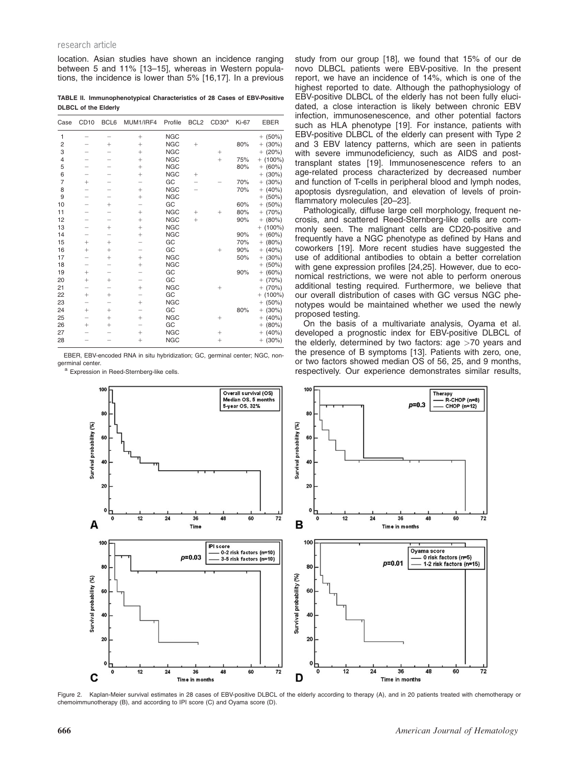#### research article

location. Asian studies have shown an incidence ranging between 5 and 11% [13–15], whereas in Western populations, the incidence is lower than 5% [16,17]. In a previous

TABLE II. Immunophenotypical Characteristics of 28 Cases of EBV-Positive DLBCL of the Elderly

| Case           | CD <sub>10</sub> | BCL6   | MUM1/IRF4 | Profile    | BCL <sub>2</sub> | CD30 <sup>a</sup> | <b>Ki-67</b> | <b>EBER</b>     |
|----------------|------------------|--------|-----------|------------|------------------|-------------------|--------------|-----------------|
| 1              |                  |        | $^{+}$    | <b>NGC</b> |                  |                   |              | $+$ (50%)       |
| $\overline{c}$ |                  | $^{+}$ | $\ddot{}$ | <b>NGC</b> | $^{+}$           |                   | 80%          | $+$ (30%)       |
| 3              |                  |        | $^{+}$    | <b>NGC</b> |                  | $\! + \!\!\!\!$   |              | $+$ (20%)       |
| $\overline{4}$ |                  |        | $^{+}$    | <b>NGC</b> |                  | $^{+}$            | 75%          | $+$ (100%)      |
| 5              |                  |        | $^{+}$    | <b>NGC</b> |                  |                   | 80%          | $+ (60\%)$      |
| 6              |                  |        | $^{+}$    | <b>NGC</b> | $^{+}$           |                   |              | $+$ (30%)       |
| $\overline{7}$ | $^{+}$           |        |           | GC         |                  |                   | 70%          | $+$ (30%)       |
| 8              |                  |        | $^{+}$    | <b>NGC</b> |                  |                   | 70%          | $+ (40\%)$      |
| 9              |                  |        | $^{+}$    | <b>NGC</b> |                  |                   |              | $+$ (50%)       |
| 10             |                  | $^{+}$ | -         | GC         |                  |                   | 60%          | $+ (50\%)$      |
| 11             |                  |        | $^{+}$    | <b>NGC</b> | $\! + \!\!\!\!$  | $^{+}$            | 80%          | $+$ (70%)       |
| 12             |                  |        | $^{+}$    | <b>NGC</b> | $^{+}$           |                   | 90%          | $+$ (80%)       |
| 13             |                  | $^{+}$ | $\ddot{}$ | <b>NGC</b> |                  |                   |              | $+$ (100%)      |
| 14             |                  |        | $^{+}$    | <b>NGC</b> |                  |                   | 90%          | $+ (60\%)$      |
| 15             | $^{+}$           | $^{+}$ |           | GC         |                  |                   | 70%          | $+ (80\%)$      |
| 16             | $^{+}$           | $^{+}$ |           | GC         |                  | $^{+}$            | 90%          | $+ (40\%)$      |
| 17             |                  | $^{+}$ | $^{+}$    | <b>NGC</b> |                  |                   | 50%          | $+$ (30%)       |
| 18             |                  |        | $\ddot{}$ | <b>NGC</b> |                  |                   |              | $+$ (50%)       |
| 19             | $^{+}$           |        |           | GC         |                  |                   | 90%          | (60%)<br>$^{+}$ |
| 20             | $^{+}$           | $^{+}$ |           | GC         |                  |                   |              | $+$ (70%)       |
| 21             |                  |        | $^{+}$    | <b>NGC</b> |                  | $^{+}$            |              | $+$ (70%)       |
| 22             | $^{+}$           | $^{+}$ | -         | GC         |                  |                   |              | $+$ (100%)      |
| 23             | -                | -      | $^{+}$    | <b>NGC</b> |                  |                   |              | $+ (50\%)$      |
| 24             | $^{+}$           | $^{+}$ | -         | GC         |                  |                   | 80%          | $+$ (30%)       |
| 25             |                  | $^{+}$ | $^{+}$    | <b>NGC</b> |                  | $^{+}$            |              | $+ (40\%)$      |
| 26             | $^{+}$           | $^{+}$ |           | GC         |                  |                   |              | $+ (80\%)$      |
| 27             |                  |        | $^{+}$    | <b>NGC</b> |                  | $^{+}$            |              | $+ (40\%)$      |
| 28             |                  |        | $^{+}$    | <b>NGC</b> |                  | $^{+}$            |              | $+$ (30%)       |

EBER, EBV-encoded RNA in situ hybridization; GC, germinal center; NGC, non-

a Expression in Reed-Sternberg-like cells.

study from our group [18], we found that 15% of our de novo DLBCL patients were EBV-positive. In the present report, we have an incidence of 14%, which is one of the highest reported to date. Although the pathophysiology of EBV-positive DLBCL of the elderly has not been fully elucidated, a close interaction is likely between chronic EBV infection, immunosenescence, and other potential factors such as HLA phenotype [19]. For instance, patients with EBV-positive DLBCL of the elderly can present with Type 2 and 3 EBV latency patterns, which are seen in patients with severe immunodeficiency, such as AIDS and posttransplant states [19]. Immunosenescence refers to an age-related process characterized by decreased number and function of T-cells in peripheral blood and lymph nodes, apoptosis dysregulation, and elevation of levels of proinflammatory molecules [20–23].

Pathologically, diffuse large cell morphology, frequent necrosis, and scattered Reed-Sternberg-like cells are commonly seen. The malignant cells are CD20-positive and frequently have a NGC phenotype as defined by Hans and coworkers [19]. More recent studies have suggested the use of additional antibodies to obtain a better correlation with gene expression profiles [24,25]. However, due to economical restrictions, we were not able to perform onerous additional testing required. Furthermore, we believe that our overall distribution of cases with GC versus NGC phenotypes would be maintained whether we used the newly proposed testing.

On the basis of a multivariate analysis, Oyama et al. developed a prognostic index for EBV-positive DLBCL of the elderly, determined by two factors: age >70 years and the presence of B symptoms [13]. Patients with zero, one, or two factors showed median OS of 56, 25, and 9 months, respectively. Our experience demonstrates similar results,



Figure 2. Kaplan-Meier survival estimates in 28 cases of EBV-positive DLBCL of the elderly according to therapy (A), and in 20 patients treated with chemotherapy or chemoimmunotherapy (B), and according to IPI score (C) and Oyama score (D).